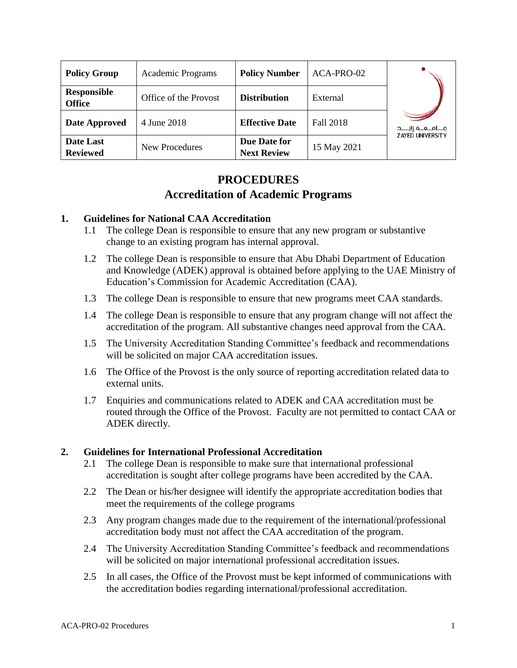| <b>Policy Group</b>                 | <b>Academic Programs</b> | <b>Policy Number</b>               | ACA-PRO-02  |                                                      |
|-------------------------------------|--------------------------|------------------------------------|-------------|------------------------------------------------------|
| <b>Responsible</b><br><b>Office</b> | Office of the Provost    | <b>Distribution</b>                | External    | مــــامـــعـــة زايـــــد<br><b>ZAYED UNIVERSITY</b> |
| <b>Date Approved</b>                | 4 June 2018              | <b>Effective Date</b>              | Fall 2018   |                                                      |
| Date Last<br><b>Reviewed</b>        | New Procedures           | Due Date for<br><b>Next Review</b> | 15 May 2021 |                                                      |

# **PROCEDURES Accreditation of Academic Programs**

## **1. Guidelines for National CAA Accreditation**

- 1.1 The college Dean is responsible to ensure that any new program or substantive change to an existing program has internal approval.
- 1.2 The college Dean is responsible to ensure that Abu Dhabi Department of Education and Knowledge (ADEK) approval is obtained before applying to the UAE Ministry of Education's Commission for Academic Accreditation (CAA).
- 1.3 The college Dean is responsible to ensure that new programs meet CAA standards.
- 1.4 The college Dean is responsible to ensure that any program change will not affect the accreditation of the program. All substantive changes need approval from the CAA.
- 1.5 The University Accreditation Standing Committee's feedback and recommendations will be solicited on major CAA accreditation issues.
- 1.6 The Office of the Provost is the only source of reporting accreditation related data to external units.
- 1.7 Enquiries and communications related to ADEK and CAA accreditation must be routed through the Office of the Provost. Faculty are not permitted to contact CAA or ADEK directly.

#### **2. Guidelines for International Professional Accreditation**

- 2.1 The college Dean is responsible to make sure that international professional accreditation is sought after college programs have been accredited by the CAA.
- 2.2 The Dean or his/her designee will identify the appropriate accreditation bodies that meet the requirements of the college programs
- 2.3 Any program changes made due to the requirement of the international/professional accreditation body must not affect the CAA accreditation of the program.
- 2.4 The University Accreditation Standing Committee's feedback and recommendations will be solicited on major international professional accreditation issues.
- 2.5 In all cases, the Office of the Provost must be kept informed of communications with the accreditation bodies regarding international/professional accreditation.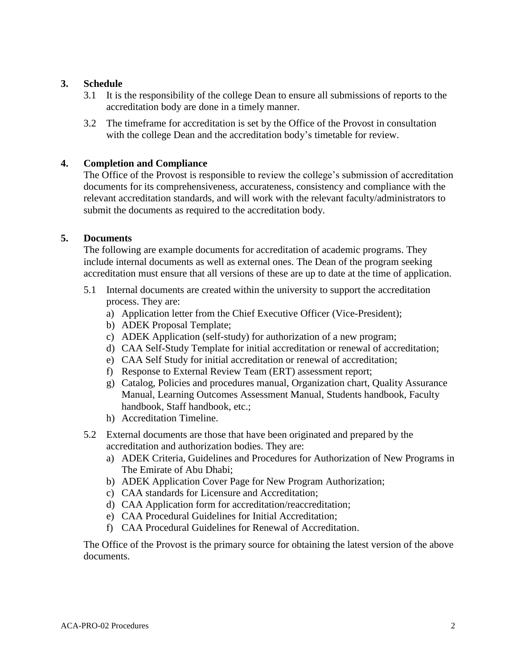### **3. Schedule**

- 3.1 It is the responsibility of the college Dean to ensure all submissions of reports to the accreditation body are done in a timely manner.
- 3.2 The timeframe for accreditation is set by the Office of the Provost in consultation with the college Dean and the accreditation body's timetable for review.

### **4. Completion and Compliance**

The Office of the Provost is responsible to review the college's submission of accreditation documents for its comprehensiveness, accurateness, consistency and compliance with the relevant accreditation standards, and will work with the relevant faculty/administrators to submit the documents as required to the accreditation body.

#### **5. Documents**

The following are example documents for accreditation of academic programs. They include internal documents as well as external ones. The Dean of the program seeking accreditation must ensure that all versions of these are up to date at the time of application.

- 5.1 Internal documents are created within the university to support the accreditation process. They are:
	- a) Application letter from the Chief Executive Officer (Vice-President);
	- b) ADEK Proposal Template;
	- c) ADEK Application (self-study) for authorization of a new program;
	- d) CAA Self-Study Template for initial accreditation or renewal of accreditation;
	- e) CAA Self Study for initial accreditation or renewal of accreditation;
	- f) Response to External Review Team (ERT) assessment report;
	- g) Catalog, Policies and procedures manual, Organization chart, Quality Assurance Manual, Learning Outcomes Assessment Manual, Students handbook, Faculty handbook, Staff handbook, etc.;
	- h) Accreditation Timeline.
- 5.2 External documents are those that have been originated and prepared by the accreditation and authorization bodies. They are:
	- a) ADEK Criteria, Guidelines and Procedures for Authorization of New Programs in The Emirate of Abu Dhabi;
	- b) ADEK Application Cover Page for New Program Authorization;
	- c) CAA standards for Licensure and Accreditation;
	- d) CAA Application form for accreditation/reaccreditation;
	- e) CAA Procedural Guidelines for Initial Accreditation;
	- f) CAA Procedural Guidelines for Renewal of Accreditation.

The Office of the Provost is the primary source for obtaining the latest version of the above documents.